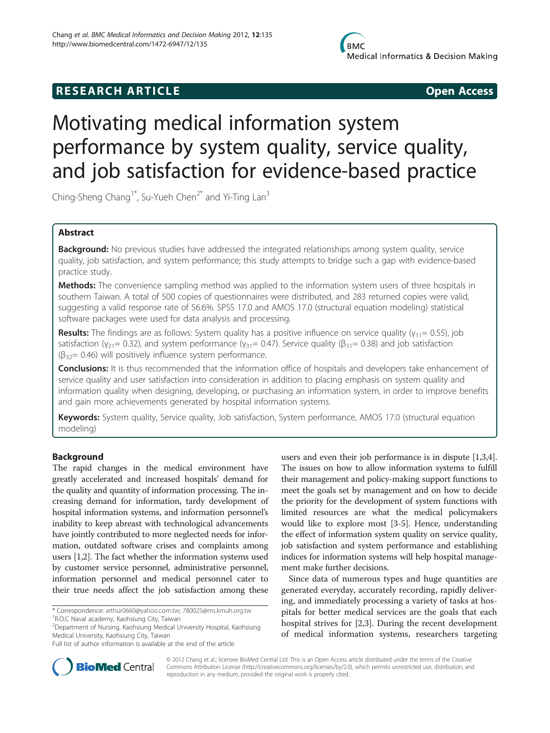# **RESEARCH ARTICLE Example 2014 CONSIDERING CONSIDERING CONSIDERING CONSIDERING CONSIDERING CONSIDERING CONSIDERING CONSIDERING CONSIDERING CONSIDERING CONSIDERING CONSIDERING CONSIDERING CONSIDERING CONSIDERING CONSIDE**

# Motivating medical information system performance by system quality, service quality, and job satisfaction for evidence-based practice

Ching-Sheng Chang<sup>1\*</sup>, Su-Yueh Chen<sup>2\*</sup> and Yi-Ting Lan<sup>3</sup>

# Abstract

Background: No previous studies have addressed the integrated relationships among system quality, service quality, job satisfaction, and system performance; this study attempts to bridge such a gap with evidence-based practice study.

**Methods:** The convenience sampling method was applied to the information system users of three hospitals in southern Taiwan. A total of 500 copies of questionnaires were distributed, and 283 returned copies were valid, suggesting a valid response rate of 56.6%. SPSS 17.0 and AMOS 17.0 (structural equation modeling) statistical software packages were used for data analysis and processing.

Results: The findings are as follows: System quality has a positive influence on service quality ( $y_{11}$ = 0.55), job satisfaction ( $\gamma_{21}= 0.32$ ), and system performance ( $\gamma_{31}= 0.47$ ). Service quality ( $\beta_{31}= 0.38$ ) and job satisfaction ( $β<sub>32</sub> = 0.46$ ) will positively influence system performance.

Conclusions: It is thus recommended that the information office of hospitals and developers take enhancement of service quality and user satisfaction into consideration in addition to placing emphasis on system quality and information quality when designing, developing, or purchasing an information system, in order to improve benefits and gain more achievements generated by hospital information systems.

Keywords: System quality, Service quality, Job satisfaction, System performance, AMOS 17.0 (structural equation modeling)

# Background

The rapid changes in the medical environment have greatly accelerated and increased hospitals' demand for the quality and quantity of information processing. The increasing demand for information, tardy development of hospital information systems, and information personnel's inability to keep abreast with technological advancements have jointly contributed to more neglected needs for information, outdated software crises and complaints among users [\[1,2\]](#page-10-0). The fact whether the information systems used by customer service personnel, administrative personnel, information personnel and medical personnel cater to their true needs affect the job satisfaction among these

\* Correspondence: [arthur0660@yahoo.com.tw](mailto:arthur0660@yahoo.com.tw); [780025@ms.kmuh.org.tw](mailto:780025@ms.kmuh.org.tw) <sup>1</sup> <sup>1</sup>R.O.C Naval academy, Kaohsiung City, Taiwan

2 Department of Nursing, Kaohsiung Medical University Hospital, Kaohsiung Medical University, Kaohsiung City, Taiwan

users and even their job performance is in dispute [[1,3,4](#page-10-0)]. The issues on how to allow information systems to fulfill their management and policy-making support functions to meet the goals set by management and on how to decide the priority for the development of system functions with limited resources are what the medical policymakers would like to explore most [\[3-5](#page-10-0)]. Hence, understanding the effect of information system quality on service quality, job satisfaction and system performance and establishing indices for information systems will help hospital management make further decisions.

Since data of numerous types and huge quantities are generated everyday, accurately recording, rapidly delivering, and immediately processing a variety of tasks at hospitals for better medical services are the goals that each hospital strives for [[2,3\]](#page-10-0). During the recent development of medical information systems, researchers targeting



© 2012 Chang et al.; licensee BioMed Central Ltd. This is an Open Access article distributed under the terms of the Creative Commons Attribution License [\(http://creativecommons.org/licenses/by/2.0\)](http://creativecommons.org/licenses/by/2.0), which permits unrestricted use, distribution, and reproduction in any medium, provided the original work is properly cited.

Full list of author information is available at the end of the article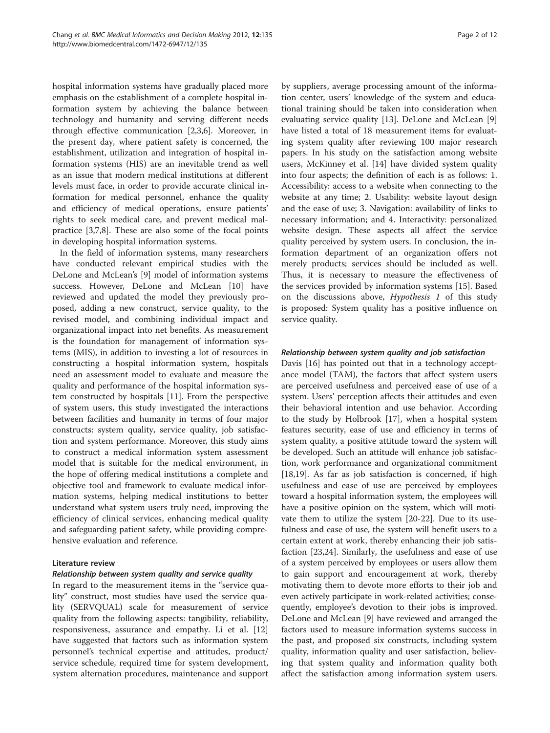hospital information systems have gradually placed more emphasis on the establishment of a complete hospital information system by achieving the balance between technology and humanity and serving different needs through effective communication [\[2,3,6](#page-10-0)]. Moreover, in the present day, where patient safety is concerned, the establishment, utilization and integration of hospital information systems (HIS) are an inevitable trend as well as an issue that modern medical institutions at different levels must face, in order to provide accurate clinical information for medical personnel, enhance the quality and efficiency of medical operations, ensure patients' rights to seek medical care, and prevent medical malpractice [[3,7,8\]](#page-10-0). These are also some of the focal points in developing hospital information systems.

In the field of information systems, many researchers have conducted relevant empirical studies with the DeLone and McLean's [\[9](#page-10-0)] model of information systems success. However, DeLone and McLean [[10\]](#page-10-0) have reviewed and updated the model they previously proposed, adding a new construct, service quality, to the revised model, and combining individual impact and organizational impact into net benefits. As measurement is the foundation for management of information systems (MIS), in addition to investing a lot of resources in constructing a hospital information system, hospitals need an assessment model to evaluate and measure the quality and performance of the hospital information system constructed by hospitals [[11](#page-10-0)]. From the perspective of system users, this study investigated the interactions between facilities and humanity in terms of four major constructs: system quality, service quality, job satisfaction and system performance. Moreover, this study aims to construct a medical information system assessment model that is suitable for the medical environment, in the hope of offering medical institutions a complete and objective tool and framework to evaluate medical information systems, helping medical institutions to better understand what system users truly need, improving the efficiency of clinical services, enhancing medical quality and safeguarding patient safety, while providing comprehensive evaluation and reference.

#### Literature review

#### Relationship between system quality and service quality

In regard to the measurement items in the "service quality" construct, most studies have used the service quality (SERVQUAL) scale for measurement of service quality from the following aspects: tangibility, reliability, responsiveness, assurance and empathy. Li et al. [[12](#page-10-0)] have suggested that factors such as information system personnel's technical expertise and attitudes, product/ service schedule, required time for system development, system alternation procedures, maintenance and support

by suppliers, average processing amount of the information center, users' knowledge of the system and educational training should be taken into consideration when evaluating service quality [[13](#page-10-0)]. DeLone and McLean [\[9](#page-10-0)] have listed a total of 18 measurement items for evaluating system quality after reviewing 100 major research papers. In his study on the satisfaction among website users, McKinney et al. [\[14\]](#page-10-0) have divided system quality into four aspects; the definition of each is as follows: 1. Accessibility: access to a website when connecting to the website at any time; 2. Usability: website layout design and the ease of use; 3. Navigation: availability of links to necessary information; and 4. Interactivity: personalized website design. These aspects all affect the service quality perceived by system users. In conclusion, the information department of an organization offers not merely products; services should be included as well. Thus, it is necessary to measure the effectiveness of the services provided by information systems [[15](#page-10-0)]. Based on the discussions above, Hypothesis 1 of this study is proposed: System quality has a positive influence on service quality.

# Relationship between system quality and job satisfaction

Davis [\[16\]](#page-10-0) has pointed out that in a technology acceptance model (TAM), the factors that affect system users are perceived usefulness and perceived ease of use of a system. Users' perception affects their attitudes and even their behavioral intention and use behavior. According to the study by Holbrook [\[17](#page-10-0)], when a hospital system features security, ease of use and efficiency in terms of system quality, a positive attitude toward the system will be developed. Such an attitude will enhance job satisfaction, work performance and organizational commitment [[18,19\]](#page-10-0). As far as job satisfaction is concerned, if high usefulness and ease of use are perceived by employees toward a hospital information system, the employees will have a positive opinion on the system, which will motivate them to utilize the system [[20](#page-10-0)-[22\]](#page-10-0). Due to its usefulness and ease of use, the system will benefit users to a certain extent at work, thereby enhancing their job satisfaction [\[23,24](#page-10-0)]. Similarly, the usefulness and ease of use of a system perceived by employees or users allow them to gain support and encouragement at work, thereby motivating them to devote more efforts to their job and even actively participate in work-related activities; consequently, employee's devotion to their jobs is improved. DeLone and McLean [\[9](#page-10-0)] have reviewed and arranged the factors used to measure information systems success in the past, and proposed six constructs, including system quality, information quality and user satisfaction, believing that system quality and information quality both affect the satisfaction among information system users.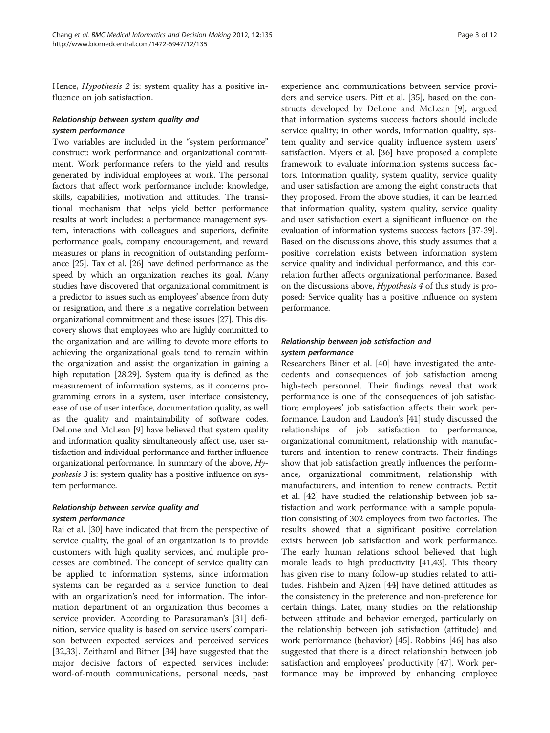Hence, *Hypothesis* 2 is: system quality has a positive influence on job satisfaction.

# Relationship between system quality and system performance

Two variables are included in the "system performance" construct: work performance and organizational commitment. Work performance refers to the yield and results generated by individual employees at work. The personal factors that affect work performance include: knowledge, skills, capabilities, motivation and attitudes. The transitional mechanism that helps yield better performance results at work includes: a performance management system, interactions with colleagues and superiors, definite performance goals, company encouragement, and reward measures or plans in recognition of outstanding performance [\[25\]](#page-10-0). Tax et al. [\[26\]](#page-10-0) have defined performance as the speed by which an organization reaches its goal. Many studies have discovered that organizational commitment is a predictor to issues such as employees' absence from duty or resignation, and there is a negative correlation between organizational commitment and these issues [\[27\]](#page-10-0). This discovery shows that employees who are highly committed to the organization and are willing to devote more efforts to achieving the organizational goals tend to remain within the organization and assist the organization in gaining a high reputation [\[28,29](#page-10-0)]. System quality is defined as the measurement of information systems, as it concerns programming errors in a system, user interface consistency, ease of use of user interface, documentation quality, as well as the quality and maintainability of software codes. DeLone and McLean [[9](#page-10-0)] have believed that system quality and information quality simultaneously affect use, user satisfaction and individual performance and further influence organizational performance. In summary of the above,  $H_{\nu}$ pothesis 3 is: system quality has a positive influence on system performance.

# Relationship between service quality and system performance

Rai et al. [\[30](#page-10-0)] have indicated that from the perspective of service quality, the goal of an organization is to provide customers with high quality services, and multiple processes are combined. The concept of service quality can be applied to information systems, since information systems can be regarded as a service function to deal with an organization's need for information. The information department of an organization thus becomes a service provider. According to Parasuraman's [[31\]](#page-10-0) definition, service quality is based on service users' comparison between expected services and perceived services [[32,33\]](#page-10-0). Zeithaml and Bitner [[34\]](#page-11-0) have suggested that the major decisive factors of expected services include: word-of-mouth communications, personal needs, past experience and communications between service providers and service users. Pitt et al. [\[35](#page-11-0)], based on the constructs developed by DeLone and McLean [[9\]](#page-10-0), argued that information systems success factors should include service quality; in other words, information quality, system quality and service quality influence system users' satisfaction. Myers et al. [[36](#page-11-0)] have proposed a complete framework to evaluate information systems success factors. Information quality, system quality, service quality and user satisfaction are among the eight constructs that they proposed. From the above studies, it can be learned that information quality, system quality, service quality and user satisfaction exert a significant influence on the evaluation of information systems success factors [[37](#page-11-0)-[39](#page-11-0)]. Based on the discussions above, this study assumes that a positive correlation exists between information system service quality and individual performance, and this correlation further affects organizational performance. Based on the discussions above, Hypothesis 4 of this study is proposed: Service quality has a positive influence on system performance.

# Relationship between job satisfaction and system performance

Researchers Biner et al. [[40\]](#page-11-0) have investigated the antecedents and consequences of job satisfaction among high-tech personnel. Their findings reveal that work performance is one of the consequences of job satisfaction; employees' job satisfaction affects their work performance. Laudon and Laudon's [\[41](#page-11-0)] study discussed the relationships of job satisfaction to performance, organizational commitment, relationship with manufacturers and intention to renew contracts. Their findings show that job satisfaction greatly influences the performance, organizational commitment, relationship with manufacturers, and intention to renew contracts. Pettit et al. [\[42\]](#page-11-0) have studied the relationship between job satisfaction and work performance with a sample population consisting of 302 employees from two factories. The results showed that a significant positive correlation exists between job satisfaction and work performance. The early human relations school believed that high morale leads to high productivity [\[41,43\]](#page-11-0). This theory has given rise to many follow-up studies related to attitudes. Fishbein and Ajzen [[44\]](#page-11-0) have defined attitudes as the consistency in the preference and non-preference for certain things. Later, many studies on the relationship between attitude and behavior emerged, particularly on the relationship between job satisfaction (attitude) and work performance (behavior) [\[45](#page-11-0)]. Robbins [[46](#page-11-0)] has also suggested that there is a direct relationship between job satisfaction and employees' productivity [\[47\]](#page-11-0). Work performance may be improved by enhancing employee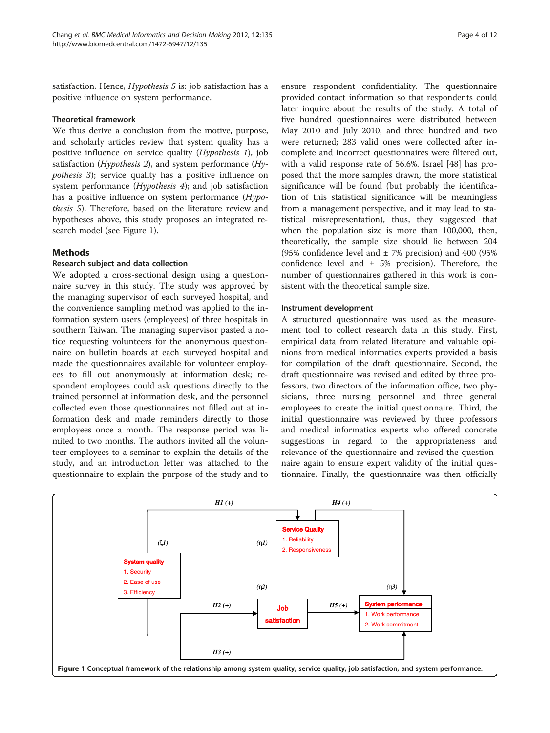satisfaction. Hence, *Hypothesis* 5 is: job satisfaction has a positive influence on system performance.

#### Theoretical framework

We thus derive a conclusion from the motive, purpose, and scholarly articles review that system quality has a positive influence on service quality (Hypothesis 1), job satisfaction (*Hypothesis 2*), and system performance ( $Hy$ pothesis 3); service quality has a positive influence on system performance (Hypothesis 4); and job satisfaction has a positive influence on system performance (Hypothesis 5). Therefore, based on the literature review and hypotheses above, this study proposes an integrated research model (see Figure 1).

# **Methods**

# Research subject and data collection

We adopted a cross-sectional design using a questionnaire survey in this study. The study was approved by the managing supervisor of each surveyed hospital, and the convenience sampling method was applied to the information system users (employees) of three hospitals in southern Taiwan. The managing supervisor pasted a notice requesting volunteers for the anonymous questionnaire on bulletin boards at each surveyed hospital and made the questionnaires available for volunteer employees to fill out anonymously at information desk; respondent employees could ask questions directly to the trained personnel at information desk, and the personnel collected even those questionnaires not filled out at information desk and made reminders directly to those employees once a month. The response period was limited to two months. The authors invited all the volunteer employees to a seminar to explain the details of the study, and an introduction letter was attached to the questionnaire to explain the purpose of the study and to

ensure respondent confidentiality. The questionnaire provided contact information so that respondents could later inquire about the results of the study. A total of five hundred questionnaires were distributed between May 2010 and July 2010, and three hundred and two were returned; 283 valid ones were collected after incomplete and incorrect questionnaires were filtered out, with a valid response rate of 56.6%. Israel [[48\]](#page-11-0) has proposed that the more samples drawn, the more statistical significance will be found (but probably the identification of this statistical significance will be meaningless from a management perspective, and it may lead to statistical misrepresentation), thus, they suggested that when the population size is more than 100,000, then, theoretically, the sample size should lie between 204 (95% confidence level and  $\pm$  7% precision) and 400 (95% confidence level and  $\pm$  5% precision). Therefore, the number of questionnaires gathered in this work is consistent with the theoretical sample size.

#### Instrument development

A structured questionnaire was used as the measurement tool to collect research data in this study. First, empirical data from related literature and valuable opinions from medical informatics experts provided a basis for compilation of the draft questionnaire. Second, the draft questionnaire was revised and edited by three professors, two directors of the information office, two physicians, three nursing personnel and three general employees to create the initial questionnaire. Third, the initial questionnaire was reviewed by three professors and medical informatics experts who offered concrete suggestions in regard to the appropriateness and relevance of the questionnaire and revised the questionnaire again to ensure expert validity of the initial questionnaire. Finally, the questionnaire was then officially

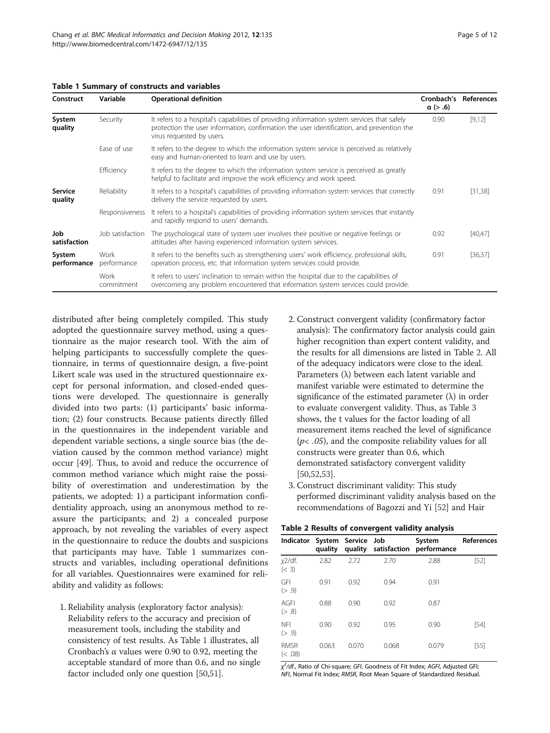Table 1 Summary of constructs and variables

| Construct                 | Variable            | <b>Operational definition</b>                                                                                                                                                                                         | Cronbach's References<br>$\alpha$ (> .6) |          |
|---------------------------|---------------------|-----------------------------------------------------------------------------------------------------------------------------------------------------------------------------------------------------------------------|------------------------------------------|----------|
| System<br>quality         | Security            | It refers to a hospital's capabilities of providing information system services that safely<br>protection the user information, confirmation the user identification, and prevention the<br>virus requested by users. | 0.90                                     | [9,12]   |
|                           | Ease of use         | It refers to the degree to which the information system service is perceived as relatively<br>easy and human-oriented to learn and use by users.                                                                      |                                          |          |
|                           | Efficiency          | It refers to the degree to which the information system service is perceived as greatly<br>helpful to facilitate and improve the work efficiency and work speed.                                                      |                                          |          |
| <b>Service</b><br>quality | Reliability         | It refers to a hospital's capabilities of providing information system services that correctly<br>delivery the service requested by users.                                                                            | 0.91                                     | [31, 38] |
|                           | Responsiveness      | It refers to a hospital's capabilities of providing information system services that instantly<br>and rapidly respond to users' demands.                                                                              |                                          |          |
| Job<br>satisfaction       | Job satisfaction    | The psychological state of system user involves their positive or negative feelings or<br>attitudes after having experienced information system services.                                                             | 0.92                                     | [40, 47] |
| System<br>performance     | Work<br>performance | It refers to the benefits such as strengthening users' work efficiency, professional skills,<br>operation process, etc. that information system services could provide.                                               | 0.91                                     | [36, 37] |
|                           | Work<br>commitment  | It refers to users' inclination to remain within the hospital due to the capabilities of<br>overcoming any problem encountered that information system services could provide.                                        |                                          |          |

distributed after being completely compiled. This study adopted the questionnaire survey method, using a questionnaire as the major research tool. With the aim of helping participants to successfully complete the questionnaire, in terms of questionnaire design, a five-point Likert scale was used in the structured questionnaire except for personal information, and closed-ended questions were developed. The questionnaire is generally divided into two parts: (1) participants' basic information; (2) four constructs. Because patients directly filled in the questionnaires in the independent variable and dependent variable sections, a single source bias (the deviation caused by the common method variance) might occur [\[49](#page-11-0)]. Thus, to avoid and reduce the occurrence of common method variance which might raise the possibility of overestimation and underestimation by the patients, we adopted: 1) a participant information confidentiality approach, using an anonymous method to reassure the participants; and 2) a concealed purpose approach, by not revealing the variables of every aspect in the questionnaire to reduce the doubts and suspicions that participants may have. Table 1 summarizes constructs and variables, including operational definitions for all variables. Questionnaires were examined for reliability and validity as follows:

1. Reliability analysis (exploratory factor analysis): Reliability refers to the accuracy and precision of measurement tools, including the stability and consistency of test results. As Table 1 illustrates, all Cronbach's α values were 0.90 to 0.92, meeting the acceptable standard of more than 0.6, and no single factor included only one question [\[50,51\]](#page-11-0).

- 2. Construct convergent validity (confirmatory factor analysis): The confirmatory factor analysis could gain higher recognition than expert content validity, and the results for all dimensions are listed in Table 2. All of the adequacy indicators were close to the ideal. Parameters (λ) between each latent variable and manifest variable were estimated to determine the significance of the estimated parameter  $(\lambda)$  in order to evaluate convergent validity. Thus, as Table [3](#page-5-0) shows, the t values for the factor loading of all measurement items reached the level of significance  $(p< .05)$ , and the composite reliability values for all constructs were greater than 0.6, which demonstrated satisfactory convergent validity [[50](#page-11-0),[52,53\]](#page-11-0).
- 3. Construct discriminant validity: This study performed discriminant validity analysis based on the recommendations of Bagozzi and Yi [[52](#page-11-0)] and Hair

| Indicator System Service Job | quality | quality | satisfaction | System<br>performance | <b>References</b> |
|------------------------------|---------|---------|--------------|-----------------------|-------------------|
| $\chi$ 2/df.<br>(< 3)        | 2.82    | 2.72    | 2.70         | 2.88                  | $[52]$            |
| GFI<br>(> .9)                | 0.91    | 0.92    | 0.94         | 0.91                  |                   |
| AGFI<br>(> .8)               | 0.88    | 0.90    | 0.92         | 0.87                  |                   |
| <b>NFI</b><br>(> .9)         | 0.90    | 0.92    | 0.95         | 0.90                  | $[54]$            |
| <b>RMSR</b><br>(80.5)        | 0.063   | 0.070   | 0.068        | 0.079                 | [55]              |

 $\chi^2$ /df., Ratio of Chi-square; GFI, Goodness of Fit Index; AGFI, Adjusted GFI; NFI, Normal Fit Index; RMSR, Root Mean Square of Standardized Residual.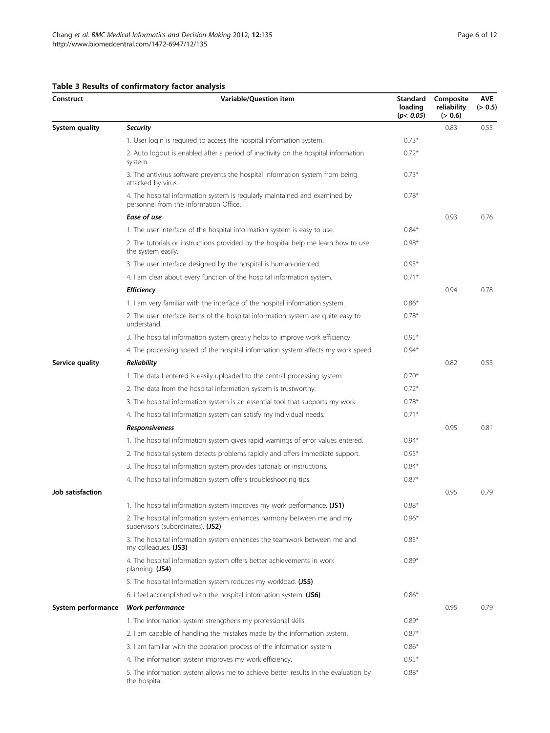# <span id="page-5-0"></span>Table 3 Results of confirmatory factor analysis

| Construct          | Variable/Question item                                                                                               | Standard<br>loading<br>(p < 0.05) | Composite<br>reliability<br>(> 0.6) | <b>AVE</b><br>(> 0.5) |
|--------------------|----------------------------------------------------------------------------------------------------------------------|-----------------------------------|-------------------------------------|-----------------------|
| System quality     | <b>Security</b>                                                                                                      |                                   | 0.83                                | 0.55                  |
|                    | 1. User login is required to access the hospital information system.                                                 | $0.73*$                           |                                     |                       |
|                    | 2. Auto logout is enabled after a period of inactivity on the hospital information<br>system.                        | $0.72*$                           |                                     |                       |
|                    | 3. The antivirus software prevents the hospital information system from being<br>attacked by virus.                  | $0.73*$                           |                                     |                       |
|                    | 4. The hospital information system is regularly maintained and examined by<br>personnel from the Information Office. | $0.78*$                           |                                     |                       |
|                    | Ease of use                                                                                                          |                                   | 0.93                                | 0.76                  |
|                    | 1. The user interface of the hospital information system is easy to use.                                             | $0.84*$                           |                                     |                       |
|                    | 2. The tutorials or instructions provided by the hospital help me learn how to use<br>the system easily.             | $0.98*$                           |                                     |                       |
|                    | 3. The user interface designed by the hospital is human-oriented.                                                    | $0.93*$                           |                                     |                       |
|                    | 4. I am clear about every function of the hospital information system.                                               | $0.71*$                           |                                     |                       |
|                    | <b>Efficiency</b>                                                                                                    |                                   | 0.94                                | 0.78                  |
|                    | 1. I am very familiar with the interface of the hospital information system.                                         | $0.86*$                           |                                     |                       |
|                    | 2. The user interface items of the hospital information system are quite easy to<br>understand.                      | $0.78*$                           |                                     |                       |
|                    | 3. The hospital information system greatly helps to improve work efficiency.                                         | $0.95*$                           |                                     |                       |
|                    | 4. The processing speed of the hospital information system affects my work speed.                                    | $0.94*$                           |                                     |                       |
| Service quality    | Reliability                                                                                                          |                                   | 0.82                                | 0.53                  |
|                    | 1. The data I entered is easily uploaded to the central processing system.                                           | $0.70*$                           |                                     |                       |
|                    | 2. The data from the hospital information system is trustworthy.                                                     | $0.72*$                           |                                     |                       |
|                    | 3. The hospital information system is an essential tool that supports my work.                                       | $0.78*$                           |                                     |                       |
|                    | 4. The hospital information system can satisfy my individual needs.                                                  | $0.71*$                           |                                     |                       |
|                    | Responsiveness                                                                                                       |                                   | 0.95                                | 0.81                  |
|                    | 1. The hospital information system gives rapid warnings of error values entered.                                     | $0.94*$                           |                                     |                       |
|                    | 2. The hospital system detects problems rapidly and offers immediate support.                                        | $0.95*$                           |                                     |                       |
|                    | 3. The hospital information system provides tutorials or instructions.                                               | $0.84*$                           |                                     |                       |
|                    | 4. The hospital information system offers troubleshooting tips.                                                      | $0.87*$                           |                                     |                       |
| Job satisfaction   |                                                                                                                      |                                   | 0.95                                | 0.79                  |
|                    | 1. The hospital information system improves my work performance. (JS1)                                               | $0.88*$                           |                                     |                       |
|                    | 2. The hospital information system enhances harmony between me and my<br>supervisors (subordinates). (JS2)           | $0.96*$                           |                                     |                       |
|                    | 3. The hospital information system enhances the teamwork between me and<br>my colleagues. (JS3)                      | $0.85*$                           |                                     |                       |
|                    | 4. The hospital information system offers better achievements in work<br>planning. (JS4)                             | $0.89*$                           |                                     |                       |
|                    | 5. The hospital information system reduces my workload. (JS5)                                                        |                                   |                                     |                       |
|                    | 6. I feel accomplished with the hospital information system. (JS6)                                                   | $0.86*$                           |                                     |                       |
| System performance | Work performance                                                                                                     |                                   | 0.95                                | 0.79                  |
|                    | 1. The information system strengthens my professional skills.                                                        | $0.89*$                           |                                     |                       |
|                    | 2. I am capable of handling the mistakes made by the information system.                                             | $0.87*$                           |                                     |                       |
|                    | 3. I am familiar with the operation process of the information system.                                               | $0.86*$                           |                                     |                       |
|                    | 4. The information system improves my work efficiency.                                                               | $0.95*$                           |                                     |                       |
|                    | 5. The information system allows me to achieve better results in the evaluation by<br>the hospital.                  | $0.88*$                           |                                     |                       |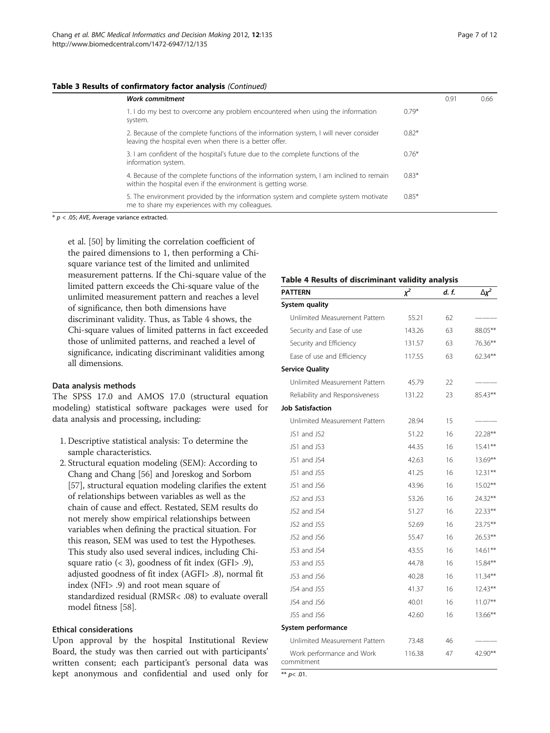#### Table 3 Results of confirmatory factor analysis (Continued)

| <b>Work commitment</b>                                                                                                                                   |         | 0.91 | 0.66 |
|----------------------------------------------------------------------------------------------------------------------------------------------------------|---------|------|------|
| 1. I do my best to overcome any problem encountered when using the information<br>system.                                                                | $0.79*$ |      |      |
| 2. Because of the complete functions of the information system, I will never consider<br>leaving the hospital even when there is a better offer.         | $0.82*$ |      |      |
| 3. I am confident of the hospital's future due to the complete functions of the<br>information system.                                                   | $0.76*$ |      |      |
| 4. Because of the complete functions of the information system, I am inclined to remain<br>within the hospital even if the environment is getting worse. | $0.83*$ |      |      |
| 5. The environment provided by the information system and complete system motivate<br>me to share my experiences with my colleagues.                     | $0.85*$ |      |      |

 $* p < .05$ ; AVE, Average variance extracted.

et al. [\[50\]](#page-11-0) by limiting the correlation coefficient of the paired dimensions to 1, then performing a Chisquare variance test of the limited and unlimited measurement patterns. If the Chi-square value of the limited pattern exceeds the Chi-square value of the unlimited measurement pattern and reaches a level of significance, then both dimensions have discriminant validity. Thus, as Table 4 shows, the Chi-square values of limited patterns in fact exceeded those of unlimited patterns, and reached a level of significance, indicating discriminant validities among all dimensions.

#### Data analysis methods

The SPSS 17.0 and AMOS 17.0 (structural equation modeling) statistical software packages were used for data analysis and processing, including:

- 1. Descriptive statistical analysis: To determine the sample characteristics.
- 2. Structural equation modeling (SEM): According to Chang and Chang [[56](#page-11-0)] and Joreskog and Sorbom [[57](#page-11-0)], structural equation modeling clarifies the extent of relationships between variables as well as the chain of cause and effect. Restated, SEM results do not merely show empirical relationships between variables when defining the practical situation. For this reason, SEM was used to test the Hypotheses. This study also used several indices, including Chisquare ratio  $(< 3)$ , goodness of fit index  $(GF1> .9)$ , adjusted goodness of fit index (AGFI> .8), normal fit index (NFI> .9) and root mean square of standardized residual (RMSR< .08) to evaluate overall model fitness [[58\]](#page-11-0).

# Ethical considerations

Upon approval by the hospital Institutional Review Board, the study was then carried out with participants' written consent; each participant's personal data was kept anonymous and confidential and used only for

#### Table 4 Results of discriminant validity analysis

| <b>PATTERN</b>                          | $\chi^2$ | d. f. | $\Delta x^2$ |
|-----------------------------------------|----------|-------|--------------|
| System quality                          |          |       |              |
| Unlimited Measurement Pattern           | 55.21    | 62    |              |
| Security and Ease of use                | 143.26   | 63    | 88.05**      |
| Security and Efficiency                 | 131.57   | 63    | 76.36**      |
| Ease of use and Efficiency              | 117.55   | 63    | 62.34**      |
| <b>Service Quality</b>                  |          |       |              |
| Unlimited Measurement Pattern           | 45.79    | 22    |              |
| Reliability and Responsiveness          | 131.22   | 23    | 85.43**      |
| <b>Job Satisfaction</b>                 |          |       |              |
| Unlimited Measurement Pattern           | 28.94    | 15    |              |
| JS1 and JS2                             | 51.22    | 16    | 22.28**      |
| JS1 and JS3                             | 44.35    | 16    | $15.41***$   |
| JS1 and JS4                             | 42.63    | 16    | 13.69**      |
| JS1 and JS5                             | 41.25    | 16    | $12.31***$   |
| JS1 and JS6                             | 43.96    | 16    | $15.02***$   |
| JS2 and JS3                             | 53.26    | 16    | 24.32**      |
| JS2 and JS4                             | 51.27    | 16    | 22.33**      |
| JS2 and JS5                             | 52.69    | 16    | 23.75**      |
| JS2 and JS6                             | 55.47    | 16    | 26.53**      |
| JS3 and JS4                             | 43.55    | 16    | $14.61***$   |
| JS3 and JS5                             | 44.78    | 16    | 15.84**      |
| JS3 and JS6                             | 40.28    | 16    | $11.34***$   |
| JS4 and JS5                             | 41.37    | 16    | $12.43***$   |
| JS4 and JS6                             | 40.01    | 16    | $11.07***$   |
| JS5 and JS6                             | 42.60    | 16    | 13.66**      |
| System performance                      |          |       |              |
| Unlimited Measurement Pattern           | 73.48    | 46    |              |
| Work performance and Work<br>commitment | 116.38   | 47    | 42.90**      |

\*\*  $p$  < .01.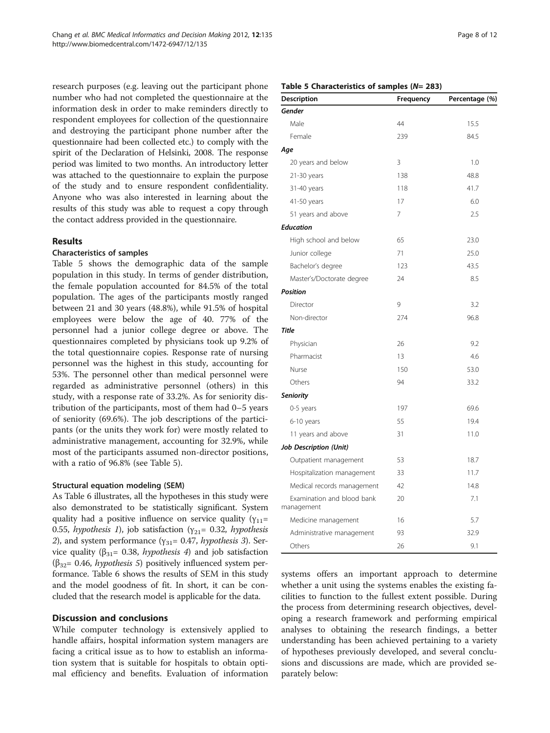research purposes (e.g. leaving out the participant phone number who had not completed the questionnaire at the information desk in order to make reminders directly to respondent employees for collection of the questionnaire and destroying the participant phone number after the questionnaire had been collected etc.) to comply with the spirit of the Declaration of Helsinki, 2008. The response period was limited to two months. An introductory letter was attached to the questionnaire to explain the purpose of the study and to ensure respondent confidentiality. Anyone who was also interested in learning about the results of this study was able to request a copy through the contact address provided in the questionnaire.

#### Results

# Characteristics of samples

Table 5 shows the demographic data of the sample population in this study. In terms of gender distribution, the female population accounted for 84.5% of the total population. The ages of the participants mostly ranged between 21 and 30 years (48.8%), while 91.5% of hospital employees were below the age of 40. 77% of the personnel had a junior college degree or above. The questionnaires completed by physicians took up 9.2% of the total questionnaire copies. Response rate of nursing personnel was the highest in this study, accounting for 53%. The personnel other than medical personnel were regarded as administrative personnel (others) in this study, with a response rate of 33.2%. As for seniority distribution of the participants, most of them had 0–5 years of seniority (69.6%). The job descriptions of the participants (or the units they work for) were mostly related to administrative management, accounting for 32.9%, while most of the participants assumed non-director positions, with a ratio of 96.8% (see Table 5).

#### Structural equation modeling (SEM)

As Table [6](#page-8-0) illustrates, all the hypotheses in this study were also demonstrated to be statistically significant. System quality had a positive influence on service quality ( $\gamma_{11}$ = 0.55, hypothesis 1), job satisfaction ( $\gamma_{21}$ = 0.32, hypothesis 2), and system performance ( $\gamma_{31}$ = 0.47, *hypothesis* 3). Service quality ( $β_{31} = 0.38$ , *hypothesis 4*) and job satisfaction  $(\beta_{32}= 0.46,$  *hypothesis* 5) positively influenced system performance. Table [6](#page-8-0) shows the results of SEM in this study and the model goodness of fit. In short, it can be concluded that the research model is applicable for the data.

# Discussion and conclusions

While computer technology is extensively applied to handle affairs, hospital information system managers are facing a critical issue as to how to establish an information system that is suitable for hospitals to obtain optimal efficiency and benefits. Evaluation of information

#### Table 5 Characteristics of samples (N= 283)

| Description                              | Frequency      | Percentage (%) |
|------------------------------------------|----------------|----------------|
| Gender                                   |                |                |
| Male                                     | 44             | 15.5           |
| Female                                   | 239            | 84.5           |
| Age                                      |                |                |
| 20 years and below                       | 3              | 1.0            |
| 21-30 years                              | 138            | 48.8           |
| 31-40 years                              | 118            | 41.7           |
| 41-50 years                              | 17             | 6.0            |
| 51 years and above                       | $\overline{7}$ | 2.5            |
| <b>Education</b>                         |                |                |
| High school and below                    | 65             | 23.0           |
| Junior college                           | 71             | 25.0           |
| Bachelor's degree                        | 123            | 43.5           |
| Master's/Doctorate degree                | 24             | 8.5            |
| <b>Position</b>                          |                |                |
| Director                                 | 9              | 3.2            |
| Non-director                             | 274            | 96.8           |
| <b>Title</b>                             |                |                |
| Physician                                | 26             | 9.2            |
| Pharmacist                               | 13             | 4.6            |
| Nurse                                    | 150            | 53.0           |
| Others                                   | 94             | 33.2           |
| <b>Seniority</b>                         |                |                |
| 0-5 years                                | 197            | 69.6           |
| 6-10 years                               | 55             | 19.4           |
| 11 years and above                       | 31             | 11.0           |
| Job Description (Unit)                   |                |                |
| Outpatient management                    | 53             | 18.7           |
| Hospitalization management               | 33             | 11.7           |
| Medical records management               | 42             | 14.8           |
| Examination and blood bank<br>management | 20             | 7.1            |
| Medicine management                      | 16             | 5.7            |
| Administrative management                | 93             | 32.9           |
| Others                                   | 26             | 9.1            |

systems offers an important approach to determine whether a unit using the systems enables the existing facilities to function to the fullest extent possible. During the process from determining research objectives, developing a research framework and performing empirical analyses to obtaining the research findings, a better understanding has been achieved pertaining to a variety of hypotheses previously developed, and several conclusions and discussions are made, which are provided separately below: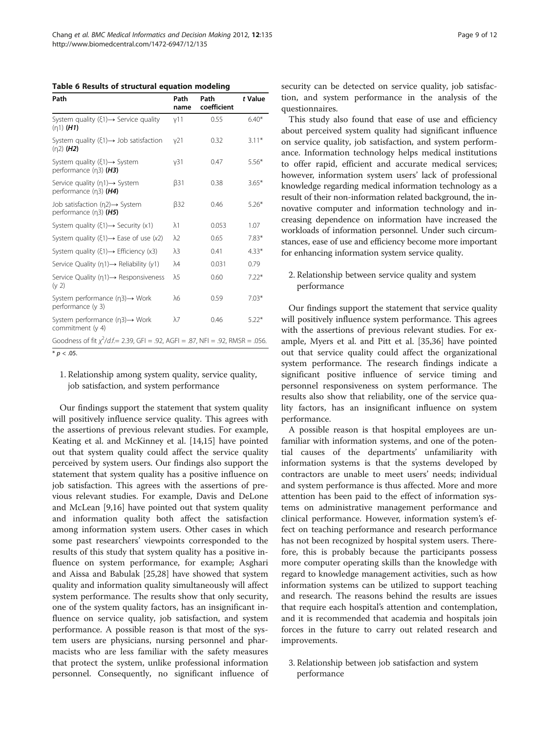<span id="page-8-0"></span>Table 6 Results of structural equation modeling

| Path                                                                                 | Path<br>name    | Path<br>coefficient | t Value |
|--------------------------------------------------------------------------------------|-----------------|---------------------|---------|
| System quality ( $\xi$ 1) $\rightarrow$ Service quality<br>$(n1)$ (H <sub>1</sub> )  | v11             | 0.55                | $6.40*$ |
| System quality ( $\xi$ 1) $\rightarrow$ Job satisfaction<br>$(n2)$ (H2)              | V <sub>21</sub> | 0.32                | $3.11*$ |
| System quality ( $\xi$ 1) $\rightarrow$ System<br>performance $(n3)$ (H3)            | v31             | 0.47                | $5.56*$ |
| Service quality $(n1) \rightarrow$ System<br>performance $(n3)$ (H4)                 | $\beta$ 31      | 0.38                | $3.65*$ |
| Job satisfaction $(n2) \rightarrow$ System<br>performance $(n3)$ (H5)                | B32             | 0.46                | $5.26*$ |
| System quality ( $\xi$ 1) $\rightarrow$ Security (x1)                                | $\lambda$ 1     | 0.053               | 1.07    |
| System quality ( $\xi$ 1) $\rightarrow$ Ease of use (x2)                             | $\lambda$ 2     | 0.65                | $7.83*$ |
| System quality ( $\xi$ 1) $\rightarrow$ Efficiency (x3)                              | $\lambda$ 3     | 0.41                | $4.33*$ |
| Service Quality $(n1) \rightarrow$ Reliability (y1)                                  | $\lambda$ 4     | 0.031               | 0.79    |
| Service Quality ( $n1$ ) $\rightarrow$ Responsiveness<br>(y 2)                       | λ5              | 0.60                | $7.22*$ |
| System performance $(n3) \rightarrow Work$<br>performance (y 3)                      | λ6              | 0.59                | $7.03*$ |
| System performance $(n3) \rightarrow Work$<br>commitment (y 4)                       | $\lambda$ 7     | 0.46                | $5.22*$ |
| Goodness of fit $\chi^2/d.f = 2.39$ , GFI = .92, AGFI = .87, NFI = .92, RMSR = .056. |                 |                     |         |
| * $p < .05$ .                                                                        |                 |                     |         |

1. Relationship among system quality, service quality, job satisfaction, and system performance

Our findings support the statement that system quality will positively influence service quality. This agrees with the assertions of previous relevant studies. For example, Keating et al. and McKinney et al. [\[14,15](#page-10-0)] have pointed out that system quality could affect the service quality perceived by system users. Our findings also support the statement that system quality has a positive influence on job satisfaction. This agrees with the assertions of previous relevant studies. For example, Davis and DeLone and McLean [\[9,16\]](#page-10-0) have pointed out that system quality and information quality both affect the satisfaction among information system users. Other cases in which some past researchers' viewpoints corresponded to the results of this study that system quality has a positive influence on system performance, for example; Asghari and Aissa and Babulak [\[25,28](#page-10-0)] have showed that system quality and information quality simultaneously will affect system performance. The results show that only security, one of the system quality factors, has an insignificant influence on service quality, job satisfaction, and system performance. A possible reason is that most of the system users are physicians, nursing personnel and pharmacists who are less familiar with the safety measures that protect the system, unlike professional information personnel. Consequently, no significant influence of security can be detected on service quality, job satisfaction, and system performance in the analysis of the questionnaires.

This study also found that ease of use and efficiency about perceived system quality had significant influence on service quality, job satisfaction, and system performance. Information technology helps medical institutions to offer rapid, efficient and accurate medical services; however, information system users' lack of professional knowledge regarding medical information technology as a result of their non-information related background, the innovative computer and information technology and increasing dependence on information have increased the workloads of information personnel. Under such circumstances, ease of use and efficiency become more important for enhancing information system service quality.

# 2. Relationship between service quality and system performance

Our findings support the statement that service quality will positively influence system performance. This agrees with the assertions of previous relevant studies. For example, Myers et al. and Pitt et al. [[35,36\]](#page-11-0) have pointed out that service quality could affect the organizational system performance. The research findings indicate a significant positive influence of service timing and personnel responsiveness on system performance. The results also show that reliability, one of the service quality factors, has an insignificant influence on system performance.

A possible reason is that hospital employees are unfamiliar with information systems, and one of the potential causes of the departments' unfamiliarity with information systems is that the systems developed by contractors are unable to meet users' needs; individual and system performance is thus affected. More and more attention has been paid to the effect of information systems on administrative management performance and clinical performance. However, information system's effect on teaching performance and research performance has not been recognized by hospital system users. Therefore, this is probably because the participants possess more computer operating skills than the knowledge with regard to knowledge management activities, such as how information systems can be utilized to support teaching and research. The reasons behind the results are issues that require each hospital's attention and contemplation, and it is recommended that academia and hospitals join forces in the future to carry out related research and improvements.

3. Relationship between job satisfaction and system performance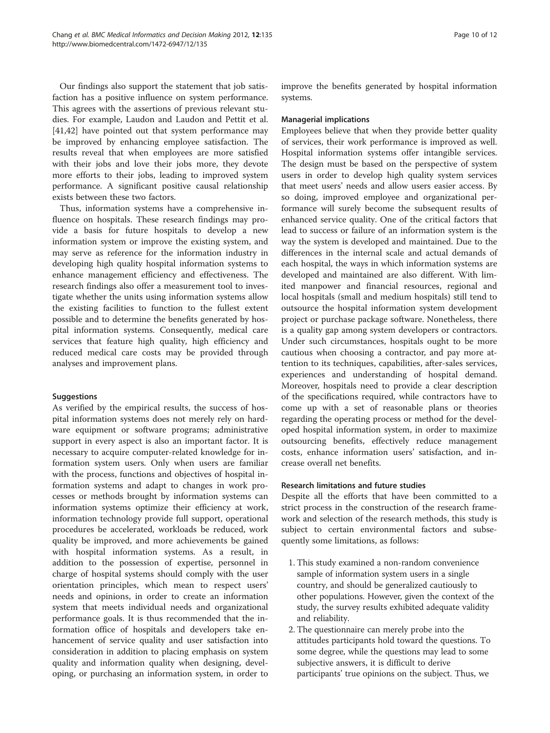Our findings also support the statement that job satisfaction has a positive influence on system performance. This agrees with the assertions of previous relevant studies. For example, Laudon and Laudon and Pettit et al. [[41,42\]](#page-11-0) have pointed out that system performance may be improved by enhancing employee satisfaction. The results reveal that when employees are more satisfied with their jobs and love their jobs more, they devote more efforts to their jobs, leading to improved system performance. A significant positive causal relationship exists between these two factors.

Thus, information systems have a comprehensive influence on hospitals. These research findings may provide a basis for future hospitals to develop a new information system or improve the existing system, and may serve as reference for the information industry in developing high quality hospital information systems to enhance management efficiency and effectiveness. The research findings also offer a measurement tool to investigate whether the units using information systems allow the existing facilities to function to the fullest extent possible and to determine the benefits generated by hospital information systems. Consequently, medical care services that feature high quality, high efficiency and reduced medical care costs may be provided through analyses and improvement plans.

#### **Suggestions**

As verified by the empirical results, the success of hospital information systems does not merely rely on hardware equipment or software programs; administrative support in every aspect is also an important factor. It is necessary to acquire computer-related knowledge for information system users. Only when users are familiar with the process, functions and objectives of hospital information systems and adapt to changes in work processes or methods brought by information systems can information systems optimize their efficiency at work, information technology provide full support, operational procedures be accelerated, workloads be reduced, work quality be improved, and more achievements be gained with hospital information systems. As a result, in addition to the possession of expertise, personnel in charge of hospital systems should comply with the user orientation principles, which mean to respect users' needs and opinions, in order to create an information system that meets individual needs and organizational performance goals. It is thus recommended that the information office of hospitals and developers take enhancement of service quality and user satisfaction into consideration in addition to placing emphasis on system quality and information quality when designing, developing, or purchasing an information system, in order to improve the benefits generated by hospital information systems.

#### Managerial implications

Employees believe that when they provide better quality of services, their work performance is improved as well. Hospital information systems offer intangible services. The design must be based on the perspective of system users in order to develop high quality system services that meet users' needs and allow users easier access. By so doing, improved employee and organizational performance will surely become the subsequent results of enhanced service quality. One of the critical factors that lead to success or failure of an information system is the way the system is developed and maintained. Due to the differences in the internal scale and actual demands of each hospital, the ways in which information systems are developed and maintained are also different. With limited manpower and financial resources, regional and local hospitals (small and medium hospitals) still tend to outsource the hospital information system development project or purchase package software. Nonetheless, there is a quality gap among system developers or contractors. Under such circumstances, hospitals ought to be more cautious when choosing a contractor, and pay more attention to its techniques, capabilities, after-sales services, experiences and understanding of hospital demand. Moreover, hospitals need to provide a clear description of the specifications required, while contractors have to come up with a set of reasonable plans or theories regarding the operating process or method for the developed hospital information system, in order to maximize outsourcing benefits, effectively reduce management costs, enhance information users' satisfaction, and increase overall net benefits.

#### Research limitations and future studies

Despite all the efforts that have been committed to a strict process in the construction of the research framework and selection of the research methods, this study is subject to certain environmental factors and subsequently some limitations, as follows:

- 1. This study examined a non-random convenience sample of information system users in a single country, and should be generalized cautiously to other populations. However, given the context of the study, the survey results exhibited adequate validity and reliability.
- 2. The questionnaire can merely probe into the attitudes participants hold toward the questions. To some degree, while the questions may lead to some subjective answers, it is difficult to derive participants' true opinions on the subject. Thus, we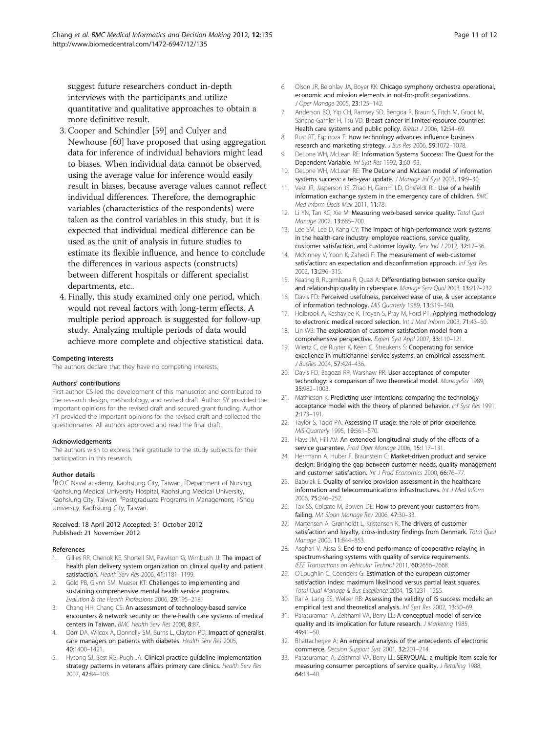<span id="page-10-0"></span>suggest future researchers conduct in-depth interviews with the participants and utilize quantitative and qualitative approaches to obtain a more definitive result.

- 3. Cooper and Schindler [\[59\]](#page-11-0) and Culyer and Newhouse [[60\]](#page-11-0) have proposed that using aggregation data for inference of individual behaviors might lead to biases. When individual data cannot be observed, using the average value for inference would easily result in biases, because average values cannot reflect individual differences. Therefore, the demographic variables (characteristics of the respondents) were taken as the control variables in this study, but it is expected that individual medical difference can be used as the unit of analysis in future studies to estimate its flexible influence, and hence to conclude the differences in various aspects (constructs) between different hospitals or different specialist departments, etc..
- 4. Finally, this study examined only one period, which would not reveal factors with long-term effects. A multiple period approach is suggested for follow-up study. Analyzing multiple periods of data would achieve more complete and objective statistical data.

#### Competing interests

The authors declare that they have no competing interests.

#### Authors' contributions

First author CS led the development of this manuscript and contributed to the research design, methodology, and revised draft. Author SY provided the important opinions for the revised draft and secured grant funding. Author YT provided the important opinions for the revised draft and collected the questionnaires. All authors approved and read the final draft.

#### Acknowledgements

The authors wish to express their gratitude to the study subjects for their participation in this research.

#### Author details

<sup>1</sup> R.O.C Naval academy, Kaohsiung City, Taiwan. <sup>2</sup> Department of Nursing, Kaohsiung Medical University Hospital, Kaohsiung Medical University, Kaohsiung City, Taiwan. <sup>3</sup>Postgraduate Programs in Management, I-Shou University, Kaohsiung City, Taiwan.

#### Received: 18 April 2012 Accepted: 31 October 2012 Published: 21 November 2012

#### References

- 1. Gillies RR, Chenok KE, Shortell SM, Pawlson G, Wimbush JJ: The impact of health plan delivery system organization on clinical quality and patient satisfaction. Health Serv Res 2006, 41:1181-1199.
- 2. Gold PB, Glynn SM, Mueser KT: Challenges to implementing and sustaining comprehensive mental health service programs. Evalution & the Health Professions 2006, 29:195–218.
- 3. Chang HH, Chang CS: An assessment of technology-based service encounters & network security on the e-health care systems of medical centers in Taiwan. BMC Health Serv Res 2008, 8:87.
- 4. Dorr DA, Wilcox A, Donnelly SM, Burns L, Clayton PD: Impact of generalist care managers on patients with diabetes. Health Serv Res 2005, 40:1400–1421.
- 5. Hysong SJ, Best RG, Pugh JA: Clinical practice guideline implementation strategy patterns in veterans affairs primary care clinics. Health Serv Res 2007, 42:84–103.
- 6. Olson JR, Belohlav JA, Boyer KK: Chicago symphony orchestra operational, economic and mission elements in not-for-profit organizations. J Oper Manage 2005, 23:125–142.
- 7. Anderson BO, Yip CH, Ramsey SD, Bengoa R, Braun S, Fitch M, Groot M, Sancho-Garnier H, Tsu VD: Breast cancer in limited-resource countries: Health care systems and public policy. Breast J 2006, 12:54-69.
- 8. Rust RT, Espinoza F: How technology advances influence business research and marketing strategy. J Bus Res 2006, 59:1072–1078.
- 9. DeLone WH, McLean RE: Information Systems Success: The Quest for the Dependent Variable. Inf Syst Res 1992, 3:60–93.
- 10. DeLone WH, McLean RE: The DeLone and McLean model of information systems success: a ten-year update. J Manage Inf Syst 2003, 19:9-30.
- 11. Vest JR, Jasperson JS, Zhao H, Gamm LD, Ohsfeldt RL: Use of a health information exchange system in the emergency care of children. BMC Med Inform Decis Mak 2011, 11:78.
- 12. Li YN, Tan KC, Xie M: Measuring web-based service quality. Total Qual Manage 2002, 13:685–700.
- 13. Lee SM, Lee D, Kang CY: The impact of high-performance work systems in the health-care industry: employee reactions, service quality, customer satisfaction, and customer loyalty. Serv Ind J 2012, 32:17–36.
- 14. McKinney V, Yoon K, Zahedi F: The measurement of web-customer satisfaction: an expectation and disconfirmation approach. Inf Syst Res 2002, 13:296–315.
- 15. Keating B, Rugimbana R, Quazi A: Differentiating between service quality and relationship quality in cyberspace. Manage Serv Qual 2003, 13:217–232.
- 16. Davis FD: Perceived usefulness, perceived ease of use, & user acceptance of information technology. MIS Quarterly 1989, 13:319–340.
- 17. Holbrook A, Keshavjee K, Troyan S, Pray M, Ford PT: Applying methodology to electronic medical record selection. Int J Med Inform 2003, 71:43-50.
- 18. Lin WB: The exploration of customer satisfaction model from a comprehensive perspective. Expert Syst Appl 2007, 33:110–121.
- 19. Wiertz C, de Ruyter K, Keen C, Streukens S: Cooperating for service excellence in multichannel service systems: an empirical assessment. J BusRes 2004, 57:424–436.
- 20. Davis FD, Bagozzi RP, Warshaw PR: User acceptance of computer technology: a comparison of two theoretical model. ManageSci 1989, 35:982–1003.
- 21. Mathieson K: Predicting user intentions: comparing the technology acceptance model with the theory of planned behavior. Inf Syst Res 1991, 2:173–191.
- 22. Taylor S, Todd PA: Assessing IT usage: the role of prior experience. MIS Quarterly 1995, 19:561–570.
- 23. Hays JM, Hill AV: An extended longitudinal study of the effects of a service guarantee. Prod Oper Manage 2006, 15:117–131.
- 24. Herrmann A, Huber F, Braunstein C: Market-driven product and service design: Bridging the gap between customer needs, quality management and customer satisfaction. Int J Prod Economics 2000, 66:76-77
- 25. Babulak E: Quality of service provision assessment in the healthcare information and telecommunications infrastructures. Int J Med Inform 2006, 75:246–252.
- 26. Tax SS, Colgate M, Bowen DE: How to prevent your customers from failing. Mit Sloan Manage Rev 2006, 47:30–33.
- 27. Martensen A, Grønholdt L, Kristensen K: The drivers of customer satisfaction and loyalty, cross-industry findings from Denmark. Total Qual Manage 2000, 11:844–853.
- 28. Asghari V, Aissa S: End-to-end performance of cooperative relaying in spectrum-sharing systems with quality of service requirements. IEEE Transactions on Vehicular Technol 2011, 60:2656–2668.
- 29. O'Loughlin C, Coenders G: Estimation of the european customer satisfaction index: maximum likelihood versus partial least squares. Total Qual Manage & Bus Excellence 2004, 15:1231–1255.
- 30. Rai A, Lang SS, Welker RB: Assessing the validity of IS success models: an empirical test and theoretical analysis. Inf Syst Res 2002, 13:50-69.
- 31. Parasuraman A, Zeithaml VA, Berry LL: A conceptual model of service quality and its implication for future research. J Marketing 1985, 49:41–50.
- 32. Bhattacherjee A: An empirical analysis of the antecedents of electronic commerce. Decsion Support Syst 2001, 32:201–214.
- 33. Parasuraman A, Zeithmal VA, Berry LL: SERVQUAL: a multiple item scale for measuring consumer perceptions of service quality. J Retailing 1988, 64:13–40.